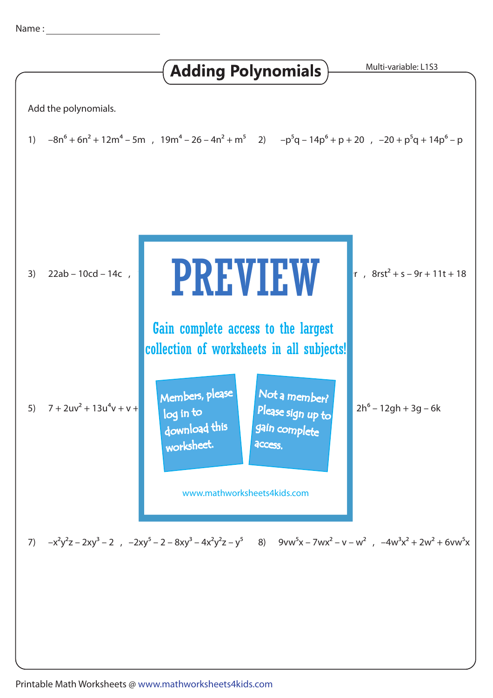